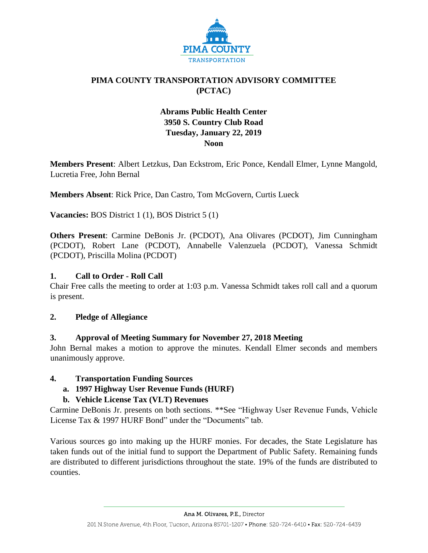

# **PIMA COUNTY TRANSPORTATION ADVISORY COMMITTEE (PCTAC)**

# **Abrams Public Health Center 3950 S. Country Club Road Tuesday, January 22, 2019 Noon**

**Members Present**: Albert Letzkus, Dan Eckstrom, Eric Ponce, Kendall Elmer, Lynne Mangold, Lucretia Free, John Bernal

**Members Absent**: Rick Price, Dan Castro, Tom McGovern, Curtis Lueck

**Vacancies:** BOS District 1 (1), BOS District 5 (1)

**Others Present**: Carmine DeBonis Jr. (PCDOT), Ana Olivares (PCDOT), Jim Cunningham (PCDOT), Robert Lane (PCDOT), Annabelle Valenzuela (PCDOT), Vanessa Schmidt (PCDOT), Priscilla Molina (PCDOT)

### **1. Call to Order - Roll Call**

Chair Free calls the meeting to order at 1:03 p.m. Vanessa Schmidt takes roll call and a quorum is present.

#### **2. Pledge of Allegiance**

# **3. Approval of Meeting Summary for November 27, 2018 Meeting**

John Bernal makes a motion to approve the minutes. Kendall Elmer seconds and members unanimously approve.

#### **4. Transportation Funding Sources**

**a. 1997 Highway User Revenue Funds (HURF)**

# **b. Vehicle License Tax (VLT) Revenues**

Carmine DeBonis Jr. presents on both sections. \*\*See "Highway User Revenue Funds, Vehicle License Tax & 1997 HURF Bond" under the "Documents" tab.

Various sources go into making up the HURF monies. For decades, the State Legislature has taken funds out of the initial fund to support the Department of Public Safety. Remaining funds are distributed to different jurisdictions throughout the state. 19% of the funds are distributed to counties.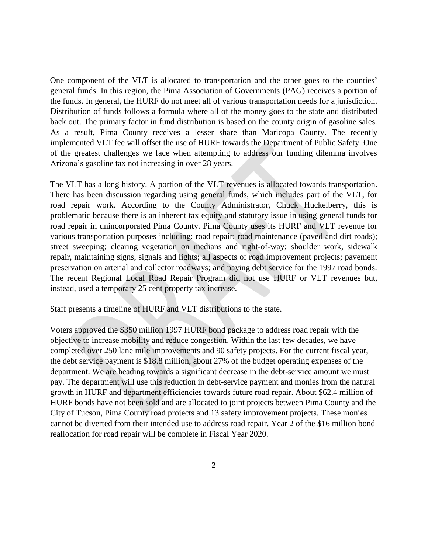One component of the VLT is allocated to transportation and the other goes to the counties' general funds. In this region, the Pima Association of Governments (PAG) receives a portion of the funds. In general, the HURF do not meet all of various transportation needs for a jurisdiction. Distribution of funds follows a formula where all of the money goes to the state and distributed back out. The primary factor in fund distribution is based on the county origin of gasoline sales. As a result, Pima County receives a lesser share than Maricopa County. The recently implemented VLT fee will offset the use of HURF towards the Department of Public Safety. One of the greatest challenges we face when attempting to address our funding dilemma involves Arizona's gasoline tax not increasing in over 28 years.

The VLT has a long history. A portion of the VLT revenues is allocated towards transportation. There has been discussion regarding using general funds, which includes part of the VLT, for road repair work. According to the County Administrator, Chuck Huckelberry, this is problematic because there is an inherent tax equity and statutory issue in using general funds for road repair in unincorporated Pima County. Pima County uses its HURF and VLT revenue for various transportation purposes including: road repair; road maintenance (paved and dirt roads); street sweeping; clearing vegetation on medians and right-of-way; shoulder work, sidewalk repair, maintaining signs, signals and lights; all aspects of road improvement projects; pavement preservation on arterial and collector roadways; and paying debt service for the 1997 road bonds. The recent Regional Local Road Repair Program did not use HURF or VLT revenues but, instead, used a temporary 25 cent property tax increase.

Staff presents a timeline of HURF and VLT distributions to the state.

Voters approved the \$350 million 1997 HURF bond package to address road repair with the objective to increase mobility and reduce congestion. Within the last few decades, we have completed over 250 lane mile improvements and 90 safety projects. For the current fiscal year, the debt service payment is \$18.8 million, about 27% of the budget operating expenses of the department. We are heading towards a significant decrease in the debt-service amount we must pay. The department will use this reduction in debt-service payment and monies from the natural growth in HURF and department efficiencies towards future road repair. About \$62.4 million of HURF bonds have not been sold and are allocated to joint projects between Pima County and the City of Tucson, Pima County road projects and 13 safety improvement projects. These monies cannot be diverted from their intended use to address road repair. Year 2 of the \$16 million bond reallocation for road repair will be complete in Fiscal Year 2020.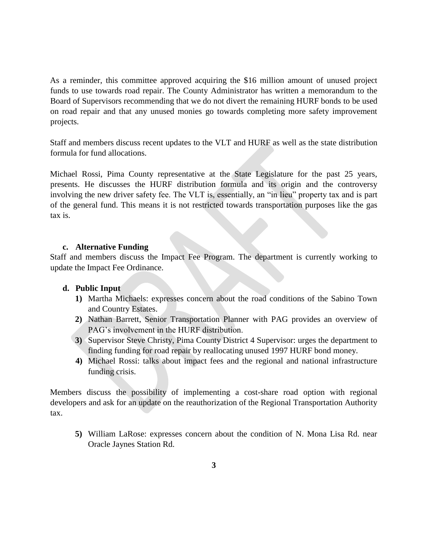As a reminder, this committee approved acquiring the \$16 million amount of unused project funds to use towards road repair. The County Administrator has written a memorandum to the Board of Supervisors recommending that we do not divert the remaining HURF bonds to be used on road repair and that any unused monies go towards completing more safety improvement projects.

Staff and members discuss recent updates to the VLT and HURF as well as the state distribution formula for fund allocations.

Michael Rossi, Pima County representative at the State Legislature for the past 25 years, presents. He discusses the HURF distribution formula and its origin and the controversy involving the new driver safety fee. The VLT is, essentially, an "in lieu" property tax and is part of the general fund. This means it is not restricted towards transportation purposes like the gas tax is.

#### **c. Alternative Funding**

Staff and members discuss the Impact Fee Program. The department is currently working to update the Impact Fee Ordinance.

#### **d. Public Input**

- **1)** Martha Michaels: expresses concern about the road conditions of the Sabino Town and Country Estates.
- **2)** Nathan Barrett, Senior Transportation Planner with PAG provides an overview of PAG's involvement in the HURF distribution.
- **3)** Supervisor Steve Christy, Pima County District 4 Supervisor: urges the department to finding funding for road repair by reallocating unused 1997 HURF bond money.
- **4)** Michael Rossi: talks about impact fees and the regional and national infrastructure funding crisis.

Members discuss the possibility of implementing a cost-share road option with regional developers and ask for an update on the reauthorization of the Regional Transportation Authority tax.

**5)** William LaRose: expresses concern about the condition of N. Mona Lisa Rd. near Oracle Jaynes Station Rd.